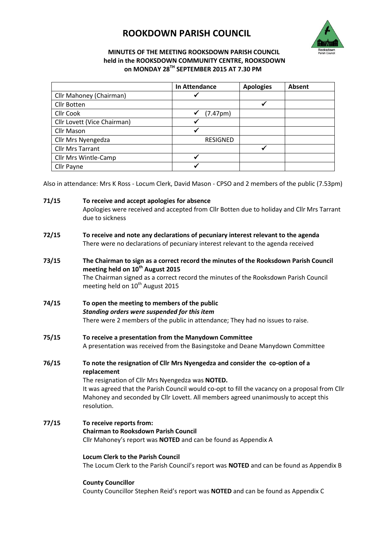# **ROOKDOWN PARISH COUNCIL**



# **MINUTES OF THE MEETING ROOKSDOWN PARISH COUNCIL held in the ROOKSDOWN COMMUNITY CENTRE, ROOKSDOWN on MONDAY 28TH SEPTEMBER 2015 AT 7.30 PM**

|                             | In Attendance         | <b>Apologies</b> | Absent |
|-----------------------------|-----------------------|------------------|--------|
| Cllr Mahoney (Chairman)     |                       |                  |        |
| Cllr Botten                 |                       |                  |        |
| <b>Cllr Cook</b>            | (7.47 <sub>pm</sub> ) |                  |        |
| Cllr Lovett (Vice Chairman) |                       |                  |        |
| Cllr Mason                  |                       |                  |        |
| Cllr Mrs Nyengedza          | <b>RESIGNED</b>       |                  |        |
| <b>Cllr Mrs Tarrant</b>     |                       |                  |        |
| Cllr Mrs Wintle-Camp        |                       |                  |        |
| Cllr Payne                  |                       |                  |        |

Also in attendance: Mrs K Ross - Locum Clerk, David Mason - CPSO and 2 members of the public (7.53pm)

**71/15 To receive and accept apologies for absence** Apologies were received and accepted from Cllr Botten due to holiday and Cllr Mrs Tarrant due to sickness

- **72/15 To receive and note any declarations of pecuniary interest relevant to the agenda** There were no declarations of pecuniary interest relevant to the agenda received
- **73/15 The Chairman to sign as a correct record the minutes of the Rooksdown Parish Council meeting held on 10th August 2015**  The Chairman signed as a correct record the minutes of the Rooksdown Parish Council meeting held on 10<sup>th</sup> August 2015
- **74/15 To open the meeting to members of the public** *Standing orders were suspended for this item* There were 2 members of the public in attendance; They had no issues to raise.
- **75/15 To receive a presentation from the Manydown Committee** A presentation was received from the Basingstoke and Deane Manydown Committee
- **76/15 To note the resignation of Cllr Mrs Nyengedza and consider the co-option of a replacement**  The resignation of Cllr Mrs Nyengedza was **NOTED.** It was agreed that the Parish Council would co-opt to fill the vacancy on a proposal from Cllr

Mahoney and seconded by Cllr Lovett. All members agreed unanimously to accept this resolution.

**77/15 To receive reports from: Chairman to Rooksdown Parish Council** Cllr Mahoney's report was **NOTED** and can be found as Appendix A

> **Locum Clerk to the Parish Council** The Locum Clerk to the Parish Council's report was **NOTED** and can be found as Appendix B

# **County Councillor**

County Councillor Stephen Reid's report was **NOTED** and can be found as Appendix C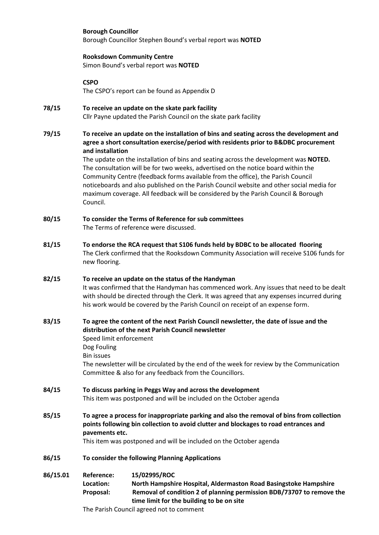#### **Borough Councillor**

Borough Councillor Stephen Bound's verbal report was **NOTED**

#### **Rooksdown Community Centre**

Simon Bound's verbal report was **NOTED**

**CSPO**

The CSPO's report can be found as Appendix D

- **78/15 To receive an update on the skate park facility** Cllr Payne updated the Parish Council on the skate park facility
- **79/15 To receive an update on the installation of bins and seating across the development and agree a short consultation exercise/period with residents prior to B&DBC procurement and installation**

The update on the installation of bins and seating across the development was **NOTED.** The consultation will be for two weeks, advertised on the notice board within the Community Centre (feedback forms available from the office), the Parish Council noticeboards and also published on the Parish Council website and other social media for maximum coverage. All feedback will be considered by the Parish Council & Borough Council.

- **80/15 To consider the Terms of Reference for sub committees** The Terms of reference were discussed.
- **81/15 To endorse the RCA request that S106 funds held by BDBC to be allocated flooring**  The Clerk confirmed that the Rooksdown Community Association will receive S106 funds for new flooring.

# **82/15 To receive an update on the status of the Handyman** It was confirmed that the Handyman has commenced work. Any issues that need to be dealt with should be directed through the Clerk. It was agreed that any expenses incurred during his work would be covered by the Parish Council on receipt of an expense form.

# **83/15 To agree the content of the next Parish Council newsletter, the date of issue and the distribution of the next Parish Council newsletter** Speed limit enforcement Dog Fouling Bin issues

The newsletter will be circulated by the end of the week for review by the Communication Committee & also for any feedback from the Councillors.

- **84/15 To discuss parking in Peggs Way and across the development** This item was postponed and will be included on the October agenda
- **85/15 To agree a process for inappropriate parking and also the removal of bins from collection points following bin collection to avoid clutter and blockages to road entrances and pavements etc.**

This item was postponed and will be included on the October agenda

**86/15 To consider the following Planning Applications** 

**86/15.01 Reference: 15/02995/ROC**

**Location: North Hampshire Hospital, Aldermaston Road Basingstoke Hampshire Proposal: Removal of condition 2 of planning permission BDB/73707 to remove the time limit for the building to be on site**

The Parish Council agreed not to comment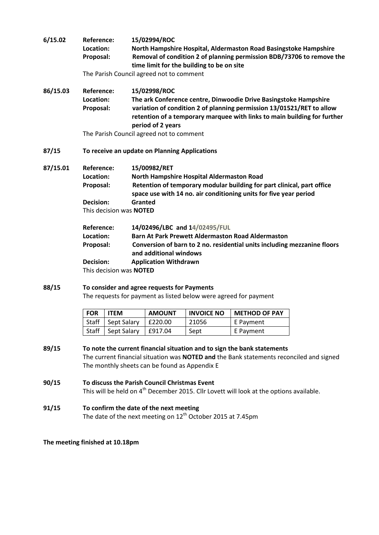| 6/15.02  | <b>Reference:</b><br>Location:<br>Proposal:   | 15/02994/ROC<br>North Hampshire Hospital, Aldermaston Road Basingstoke Hampshire<br>Removal of condition 2 of planning permission BDB/73706 to remove the<br>time limit for the building to be on site<br>The Parish Council agreed not to comment |  |  |
|----------|-----------------------------------------------|----------------------------------------------------------------------------------------------------------------------------------------------------------------------------------------------------------------------------------------------------|--|--|
| 86/15.03 | Reference:<br>Location:<br>Proposal:          | 15/02998/ROC<br>The ark Conference centre, Dinwoodie Drive Basingstoke Hampshire<br>variation of condition 2 of planning permission 13/01521/RET to allow<br>retention of a temporary marquee with links to main building for further              |  |  |
|          |                                               | period of 2 years<br>The Parish Council agreed not to comment                                                                                                                                                                                      |  |  |
| 87/15    | To receive an update on Planning Applications |                                                                                                                                                                                                                                                    |  |  |
| 87/15.01 | <b>Reference:</b>                             | 15/00982/RET                                                                                                                                                                                                                                       |  |  |
|          | Location:                                     | North Hampshire Hospital Aldermaston Road                                                                                                                                                                                                          |  |  |
|          | Proposal:                                     | Retention of temporary modular building for part clinical, part office<br>space use with 14 no. air conditioning units for five year period                                                                                                        |  |  |
|          | Decision:                                     | Granted                                                                                                                                                                                                                                            |  |  |
|          | This decision was <b>NOTED</b>                |                                                                                                                                                                                                                                                    |  |  |
|          | <b>Reference:</b>                             | 14/02496/LBC and 14/02495/FUL                                                                                                                                                                                                                      |  |  |
|          | Location:                                     | <b>Barn At Park Prewett Aldermaston Road Aldermaston</b>                                                                                                                                                                                           |  |  |
|          | Proposal:                                     | Conversion of barn to 2 no. residential units including mezzanine floors<br>and additional windows                                                                                                                                                 |  |  |
|          | Decision:                                     | <b>Application Withdrawn</b>                                                                                                                                                                                                                       |  |  |
|          | This decision was <b>NOTED</b>                |                                                                                                                                                                                                                                                    |  |  |

**88/15 To consider and agree requests for Payments** The requests for payment as listed below were agreed for payment

| <b>FOR</b> | <b>ITEM</b> | <b>AMOUNT</b> | <b>INVOICE NO</b> | <b>METHOD OF PAY</b> |
|------------|-------------|---------------|-------------------|----------------------|
| Staff      | Sept Salary | E220.00       | 21056             | E Payment            |
| Staff      | Sept Salary | £917.04       | Sept              | E Payment            |

- **89/15 To note the current financial situation and to sign the bank statements** The current financial situation was **NOTED and** the Bank statements reconciled and signed The monthly sheets can be found as Appendix E
- **90/15 To discuss the Parish Council Christmas Event** This will be held on 4<sup>th</sup> December 2015. Cllr Lovett will look at the options available.
- **91/15 To confirm the date of the next meeting** The date of the next meeting on 12<sup>th</sup> October 2015 at 7.45pm

**The meeting finished at 10.18pm**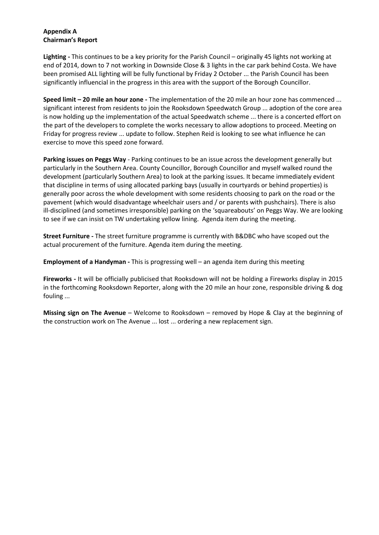# **Appendix A Chairman's Report**

**Lighting -** This continues to be a key priority for the Parish Council – originally 45 lights not working at end of 2014, down to 7 not working in Downside Close & 3 lights in the car park behind Costa. We have been promised ALL lighting will be fully functional by Friday 2 October ... the Parish Council has been significantly influencial in the progress in this area with the support of the Borough Councillor.

**Speed limit – 20 mile an hour zone -** The implementation of the 20 mile an hour zone has commenced ... significant interest from residents to join the Rooksdown Speedwatch Group ... adoption of the core area is now holding up the implementation of the actual Speedwatch scheme ... there is a concerted effort on the part of the developers to complete the works necessary to allow adoptions to proceed. Meeting on Friday for progress review ... update to follow. Stephen Reid is looking to see what influence he can exercise to move this speed zone forward.

**Parking issues on Peggs Way** - Parking continues to be an issue across the development generally but particularly in the Southern Area. County Councillor, Borough Councillor and myself walked round the development (particularly Southern Area) to look at the parking issues. It became immediately evident that discipline in terms of using allocated parking bays (usually in courtyards or behind properties) is generally poor across the whole development with some residents choosing to park on the road or the pavement (which would disadvantage wheelchair users and / or parents with pushchairs). There is also ill-disciplined (and sometimes irresponsible) parking on the 'squareabouts' on Peggs Way. We are looking to see if we can insist on TW undertaking yellow lining. Agenda item during the meeting.

**Street Furniture -** The street furniture programme is currently with B&DBC who have scoped out the actual procurement of the furniture. Agenda item during the meeting.

**Employment of a Handyman -** This is progressing well – an agenda item during this meeting

**Fireworks -** It will be officially publicised that Rooksdown will not be holding a Fireworks display in 2015 in the forthcoming Rooksdown Reporter, along with the 20 mile an hour zone, responsible driving & dog fouling ...

**Missing sign on The Avenue** – Welcome to Rooksdown – removed by Hope & Clay at the beginning of the construction work on The Avenue ... lost ... ordering a new replacement sign.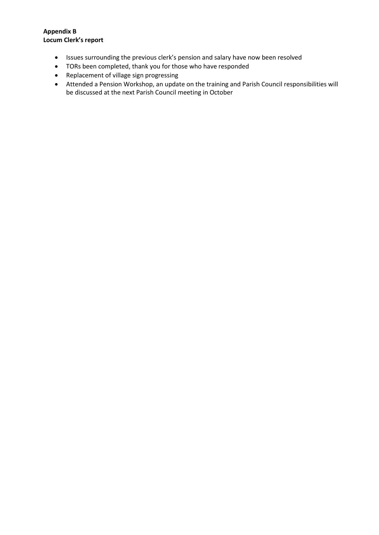# **Appendix B Locum Clerk's report**

- Issues surrounding the previous clerk's pension and salary have now been resolved
- TORs been completed, thank you for those who have responded
- Replacement of village sign progressing
- Attended a Pension Workshop, an update on the training and Parish Council responsibilities will be discussed at the next Parish Council meeting in October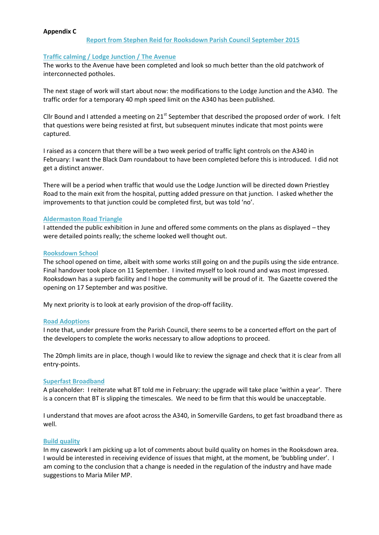#### **Appendix C**

#### **Traffic calming / Lodge Junction / The Avenue**

The works to the Avenue have been completed and look so much better than the old patchwork of interconnected potholes.

The next stage of work will start about now: the modifications to the Lodge Junction and the A340. The traffic order for a temporary 40 mph speed limit on the A340 has been published.

Cllr Bound and I attended a meeting on 21<sup>st</sup> September that described the proposed order of work. I felt that questions were being resisted at first, but subsequent minutes indicate that most points were captured.

I raised as a concern that there will be a two week period of traffic light controls on the A340 in February: I want the Black Dam roundabout to have been completed before this is introduced. I did not get a distinct answer.

There will be a period when traffic that would use the Lodge Junction will be directed down Priestley Road to the main exit from the hospital, putting added pressure on that junction. I asked whether the improvements to that junction could be completed first, but was told 'no'.

#### **Aldermaston Road Triangle**

I attended the public exhibition in June and offered some comments on the plans as displayed – they were detailed points really; the scheme looked well thought out.

#### **Rooksdown School**

The school opened on time, albeit with some works still going on and the pupils using the side entrance. Final handover took place on 11 September. I invited myself to look round and was most impressed. Rooksdown has a superb facility and I hope the community will be proud of it. The Gazette covered the opening on 17 September and was positive.

My next priority is to look at early provision of the drop-off facility.

#### **Road Adoptions**

I note that, under pressure from the Parish Council, there seems to be a concerted effort on the part of the developers to complete the works necessary to allow adoptions to proceed.

The 20mph limits are in place, though I would like to review the signage and check that it is clear from all entry-points.

#### **Superfast Broadband**

A placeholder: I reiterate what BT told me in February: the upgrade will take place 'within a year'. There is a concern that BT is slipping the timescales. We need to be firm that this would be unacceptable.

I understand that moves are afoot across the A340, in Somerville Gardens, to get fast broadband there as well.

#### **Build quality**

In my casework I am picking up a lot of comments about build quality on homes in the Rooksdown area. I would be interested in receiving evidence of issues that might, at the moment, be 'bubbling under'. I am coming to the conclusion that a change is needed in the regulation of the industry and have made suggestions to Maria Miler MP.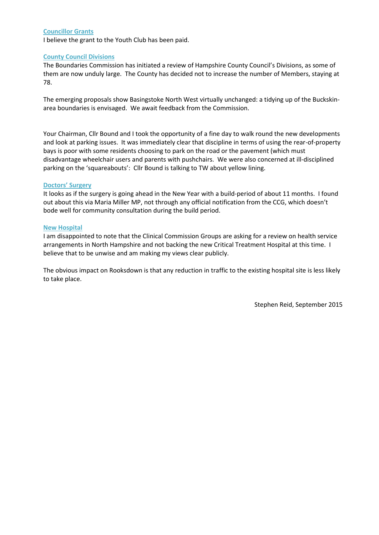#### **Councillor Grants**

I believe the grant to the Youth Club has been paid.

#### **County Council Divisions**

The Boundaries Commission has initiated a review of Hampshire County Council's Divisions, as some of them are now unduly large. The County has decided not to increase the number of Members, staying at 78.

The emerging proposals show Basingstoke North West virtually unchanged: a tidying up of the Buckskinarea boundaries is envisaged. We await feedback from the Commission.

Your Chairman, Cllr Bound and I took the opportunity of a fine day to walk round the new developments and look at parking issues. It was immediately clear that discipline in terms of using the rear-of-property bays is poor with some residents choosing to park on the road or the pavement (which must disadvantage wheelchair users and parents with pushchairs. We were also concerned at ill-disciplined parking on the 'squareabouts': Cllr Bound is talking to TW about yellow lining.

#### **Doctors' Surgery**

It looks as if the surgery is going ahead in the New Year with a build-period of about 11 months. I found out about this via Maria Miller MP, not through any official notification from the CCG, which doesn't bode well for community consultation during the build period.

#### **New Hospital**

I am disappointed to note that the Clinical Commission Groups are asking for a review on health service arrangements in North Hampshire and not backing the new Critical Treatment Hospital at this time. I believe that to be unwise and am making my views clear publicly.

The obvious impact on Rooksdown is that any reduction in traffic to the existing hospital site is less likely to take place.

Stephen Reid, September 2015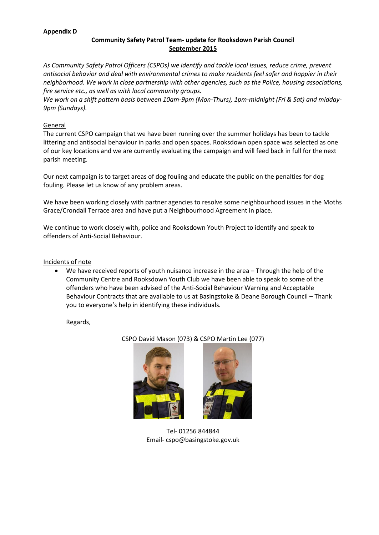#### **Appendix D**

# **Community Safety Patrol Team- update for Rooksdown Parish Council September 2015**

*As Community Safety Patrol Officers (CSPOs) we identify and tackle local issues, reduce crime, prevent antisocial behavior and deal with environmental crimes to make residents feel safer and happier in their neighborhood. We work in close partnership with other agencies, such as the Police, housing associations, fire service etc., as well as with local community groups.* 

*We work on a shift pattern basis between 10am-9pm (Mon-Thurs), 1pm-midnight (Fri & Sat) and midday-9pm (Sundays).*

#### **General**

The current CSPO campaign that we have been running over the summer holidays has been to tackle littering and antisocial behaviour in parks and open spaces. Rooksdown open space was selected as one of our key locations and we are currently evaluating the campaign and will feed back in full for the next parish meeting.

Our next campaign is to target areas of dog fouling and educate the public on the penalties for dog fouling. Please let us know of any problem areas.

We have been working closely with partner agencies to resolve some neighbourhood issues in the Moths Grace/Crondall Terrace area and have put a Neighbourhood Agreement in place.

We continue to work closely with, police and Rooksdown Youth Project to identify and speak to offenders of Anti-Social Behaviour.

### Incidents of note

 We have received reports of youth nuisance increase in the area – Through the help of the Community Centre and Rooksdown Youth Club we have been able to speak to some of the offenders who have been advised of the Anti-Social Behaviour Warning and Acceptable Behaviour Contracts that are available to us at Basingstoke & Deane Borough Council – Thank you to everyone's help in identifying these individuals.

Regards,





Tel- 01256 844844 Email- cspo@basingstoke.gov.uk

CSPO David Mason (073) & CSPO Martin Lee (077)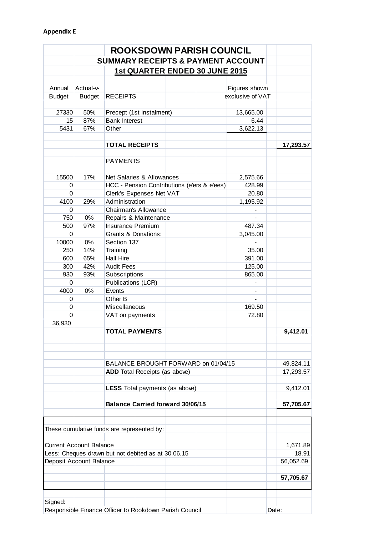|               |                                | <b>ROOKSDOWN PARISH COUNCIL</b>                        |                  |           |
|---------------|--------------------------------|--------------------------------------------------------|------------------|-----------|
|               |                                | <b>SUMMARY RECEIPTS &amp; PAYMENT ACCOUNT</b>          |                  |           |
|               |                                | <b>1st QUARTER ENDED 30 JUNE 2015</b>                  |                  |           |
|               |                                |                                                        |                  |           |
| Annual        | Actual-v-                      |                                                        | Figures shown    |           |
| <b>Budget</b> | <b>Budget</b>                  | <b>RECEIPTS</b>                                        | exclusive of VAT |           |
|               |                                |                                                        |                  |           |
| 27330         | 50%                            | Precept (1st instalment)                               | 13,665.00        |           |
| 15            | 87%                            | <b>Bank Interest</b>                                   | 6.44             |           |
| 5431          | 67%                            | Other                                                  | 3,622.13         |           |
|               |                                | <b>TOTAL RECEIPTS</b>                                  |                  | 17,293.57 |
|               |                                |                                                        |                  |           |
|               |                                | <b>PAYMENTS</b>                                        |                  |           |
|               |                                |                                                        |                  |           |
| 15500         | 17%                            | Net Salaries & Allowances                              | 2,575.66         |           |
| 0             |                                | HCC - Pension Contributions (e'ers & e'ees)            | 428.99           |           |
| $\Omega$      |                                | Clerk's Expenses Net VAT                               | 20.80            |           |
| 4100          | 29%                            | Administration                                         | 1,195.92         |           |
| 0             |                                | Chairman's Allowance                                   |                  |           |
| 750           | 0%                             | Repairs & Maintenance                                  | $\overline{a}$   |           |
| 500           | 97%                            | Insurance Premium                                      | 487.34           |           |
| 0             |                                | Grants & Donations:                                    | 3,045.00         |           |
| 10000         | 0%                             | Section 137                                            |                  |           |
| 250<br>600    | 14%<br>65%                     | Training<br><b>Hall Hire</b>                           | 35.00<br>391.00  |           |
| 300           | 42%                            | <b>Audit Fees</b>                                      | 125.00           |           |
| 930           | 93%                            | Subscriptions                                          | 865.00           |           |
| $\Omega$      |                                | Publications (LCR)                                     |                  |           |
| 4000          | 0%                             | Events                                                 |                  |           |
| 0             |                                | Other B                                                |                  |           |
| 0             |                                | Miscellaneous                                          | 169.50           |           |
| $\Omega$      |                                | VAT on payments                                        | 72.80            |           |
| 36,930        |                                |                                                        |                  |           |
|               |                                | <b>TOTAL PAYMENTS</b>                                  |                  | 9,412.01  |
|               |                                |                                                        |                  |           |
|               |                                | BALANCE BROUGHT FORWARD on 01/04/15                    |                  | 49,824.11 |
|               |                                | <b>ADD</b> Total Receipts (as above)                   |                  | 17,293.57 |
|               |                                |                                                        |                  |           |
|               |                                | <b>LESS</b> Total payments (as above)                  |                  | 9,412.01  |
|               |                                | <b>Balance Carried forward 30/06/15</b>                |                  | 57,705.67 |
|               |                                |                                                        |                  |           |
|               |                                | These cumulative funds are represented by:             |                  |           |
|               | <b>Current Account Balance</b> |                                                        |                  | 1,671.89  |
|               |                                | Less: Cheques drawn but not debited as at 30.06.15     |                  | 18.91     |
|               | Deposit Account Balance        |                                                        |                  | 56,052.69 |
|               |                                |                                                        |                  |           |
|               |                                |                                                        |                  | 57,705.67 |
|               |                                |                                                        |                  |           |
| Signed:       |                                | Responsible Finance Officer to Rookdown Parish Council |                  | Date:     |
|               |                                |                                                        |                  |           |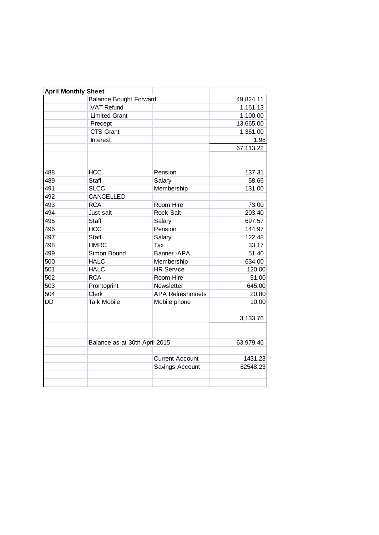|     | <b>April Monthly Sheet</b>    |                         |           |
|-----|-------------------------------|-------------------------|-----------|
|     | <b>Balance Bought Forward</b> |                         | 49,824.11 |
|     | <b>VAT Refund</b>             |                         | 1,161.13  |
|     | <b>Limited Grant</b>          |                         | 1,100.00  |
|     | Precept                       |                         | 13,665.00 |
|     | <b>CTS Grant</b>              |                         | 1,361.00  |
|     | Interest                      |                         | 1.98      |
|     |                               |                         | 67,113.22 |
|     |                               |                         |           |
| 488 | <b>HCC</b>                    | Pension                 | 137.31    |
| 489 | Staff                         | Salary                  | 58.66     |
| 491 | <b>SLCC</b>                   | Membership              | 131.00    |
| 492 | CANCELLED                     |                         |           |
| 493 | <b>RCA</b>                    | Room Hire               | 73.00     |
| 494 | Just salt                     | <b>Rock Salt</b>        | 203.40    |
| 495 | Staff                         | Salary                  | 697.57    |
| 496 | <b>HCC</b>                    | Pension                 | 144.97    |
| 497 | Staff                         | Salary                  | 122.48    |
| 498 | <b>HMRC</b>                   | Tax                     | 33.17     |
| 499 | Simon Bound                   | Banner-APA              | 51.40     |
| 500 | <b>HALC</b>                   | Membership              | 634.00    |
| 501 | <b>HALC</b>                   | <b>HR Service</b>       | 120.00    |
| 502 | <b>RCA</b>                    | Room Hire               | 51.00     |
| 503 | Prontoprint                   | Newsletter              | 645.00    |
| 504 | <b>Clerk</b>                  | <b>APA Refreshmnets</b> | 20.80     |
| DD  | <b>Talk Mobile</b>            | Mobile phone            | 10.00     |
|     |                               |                         | 3,133.76  |
|     | Balance as at 30th April 2015 |                         | 63,979.46 |
|     |                               | <b>Current Account</b>  | 1431.23   |
|     |                               | Savings Account         | 62548.23  |
|     |                               |                         |           |
|     |                               |                         |           |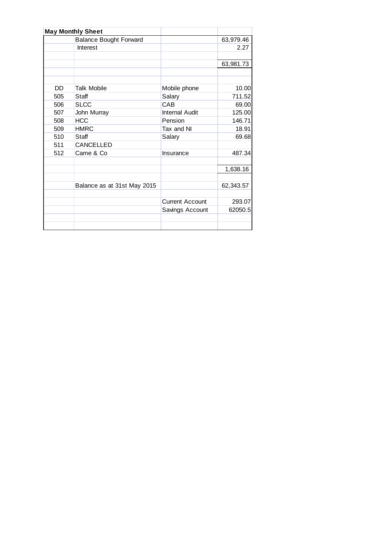|     | <b>May Monthly Sheet</b>      |                        |           |
|-----|-------------------------------|------------------------|-----------|
|     | <b>Balance Bought Forward</b> |                        | 63,979.46 |
|     | Interest                      |                        | 2.27      |
|     |                               |                        |           |
|     |                               |                        | 63,981.73 |
|     |                               |                        |           |
|     |                               |                        |           |
| DD. | <b>Talk Mobile</b>            | Mobile phone           | 10.00     |
| 505 | Staff                         | Salary                 | 711.52    |
| 506 | <b>SLCC</b>                   | CAB                    | 69.00     |
| 507 | John Murray                   | <b>Internal Audit</b>  | 125.00    |
| 508 | <b>HCC</b>                    | Pension                | 146.71    |
| 509 | <b>HMRC</b>                   | Tax and NI             | 18.91     |
| 510 | Staff                         | Salary                 | 69.68     |
| 511 | CANCELLED                     |                        |           |
| 512 | Came & Co                     | Insurance              | 487.34    |
|     |                               |                        |           |
|     |                               |                        | 1,638.16  |
|     |                               |                        |           |
|     | Balance as at 31st May 2015   |                        | 62,343.57 |
|     |                               |                        |           |
|     |                               | <b>Current Account</b> | 293.07    |
|     |                               | Savings Account        | 62050.5   |
|     |                               |                        |           |
|     |                               |                        |           |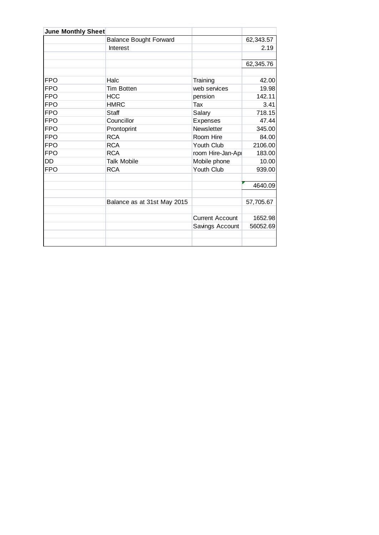| <b>June Monthly Sheet</b> |                               |                        |           |
|---------------------------|-------------------------------|------------------------|-----------|
|                           | <b>Balance Bought Forward</b> |                        | 62,343.57 |
|                           | Interest                      |                        | 2.19      |
|                           |                               |                        |           |
|                           |                               |                        | 62,345.76 |
|                           |                               |                        |           |
| <b>FPO</b>                | Halc                          | Training               | 42.00     |
| <b>FPO</b>                | <b>Tim Botten</b>             | web services           | 19.98     |
| <b>FPO</b>                | <b>HCC</b>                    | pension                | 142.11    |
| <b>FPO</b>                | <b>HMRC</b>                   | Tax                    | 3.41      |
| <b>FPO</b>                | Staff                         | Salary                 | 718.15    |
| <b>FPO</b>                | Councillor                    | Expenses               | 47.44     |
| <b>FPO</b>                | Prontoprint                   | Newsletter             | 345.00    |
| <b>FPO</b>                | <b>RCA</b>                    | Room Hire              | 84.00     |
| <b>FPO</b>                | <b>RCA</b>                    | Youth Club             | 2106.00   |
| <b>FPO</b>                | <b>RCA</b>                    | room Hire-Jan-Apr      | 183.00    |
| <b>DD</b>                 | <b>Talk Mobile</b>            | Mobile phone           | 10.00     |
| <b>FPO</b>                | <b>RCA</b>                    | Youth Club             | 939.00    |
|                           |                               |                        |           |
|                           |                               |                        | 4640.09   |
|                           |                               |                        |           |
|                           | Balance as at 31st May 2015   |                        | 57,705.67 |
|                           |                               |                        |           |
|                           |                               | <b>Current Account</b> | 1652.98   |
|                           |                               | Savings Account        | 56052.69  |
|                           |                               |                        |           |
|                           |                               |                        |           |